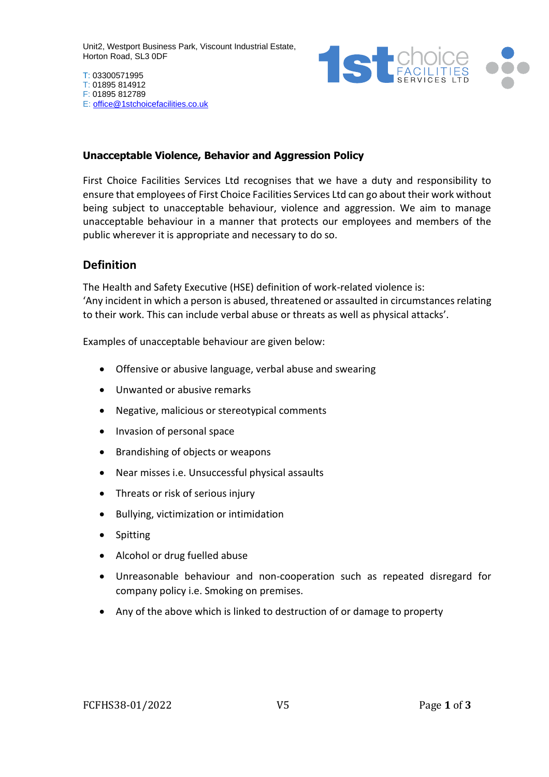Unit2, Westport Business Park, Viscount Industrial Estate, Horton Road, SL3 0DF



#### **Unacceptable Violence, Behavior and Aggression Policy**

First Choice Facilities Services Ltd recognises that we have a duty and responsibility to ensure that employees of First Choice Facilities Services Ltd can go about their work without being subject to unacceptable behaviour, violence and aggression. We aim to manage unacceptable behaviour in a manner that protects our employees and members of the public wherever it is appropriate and necessary to do so.

### **Definition**

The Health and Safety Executive (HSE) definition of work-related violence is: 'Any incident in which a person is abused, threatened or assaulted in circumstances relating to their work. This can include verbal abuse or threats as well as physical attacks'.

Examples of unacceptable behaviour are given below:

- Offensive or abusive language, verbal abuse and swearing
- Unwanted or abusive remarks
- Negative, malicious or stereotypical comments
- Invasion of personal space
- Brandishing of objects or weapons
- Near misses i.e. Unsuccessful physical assaults
- Threats or risk of serious injury
- Bullying, victimization or intimidation
- Spitting
- Alcohol or drug fuelled abuse
- Unreasonable behaviour and non-cooperation such as repeated disregard for company policy i.e. Smoking on premises.
- Any of the above which is linked to destruction of or damage to property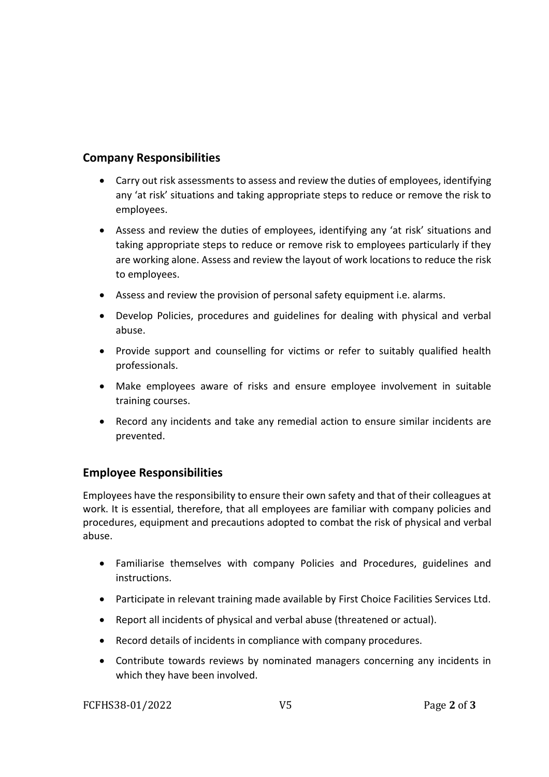## **Company Responsibilities**

- Carry out risk assessments to assess and review the duties of employees, identifying any 'at risk' situations and taking appropriate steps to reduce or remove the risk to employees.
- Assess and review the duties of employees, identifying any 'at risk' situations and taking appropriate steps to reduce or remove risk to employees particularly if they are working alone. Assess and review the layout of work locations to reduce the risk to employees.
- Assess and review the provision of personal safety equipment i.e. alarms.
- Develop Policies, procedures and guidelines for dealing with physical and verbal abuse.
- Provide support and counselling for victims or refer to suitably qualified health professionals.
- Make employees aware of risks and ensure employee involvement in suitable training courses.
- Record any incidents and take any remedial action to ensure similar incidents are prevented.

# **Employee Responsibilities**

Employees have the responsibility to ensure their own safety and that of their colleagues at work. It is essential, therefore, that all employees are familiar with company policies and procedures, equipment and precautions adopted to combat the risk of physical and verbal abuse.

- Familiarise themselves with company Policies and Procedures, guidelines and instructions.
- Participate in relevant training made available by First Choice Facilities Services Ltd.
- Report all incidents of physical and verbal abuse (threatened or actual).
- Record details of incidents in compliance with company procedures.
- Contribute towards reviews by nominated managers concerning any incidents in which they have been involved.